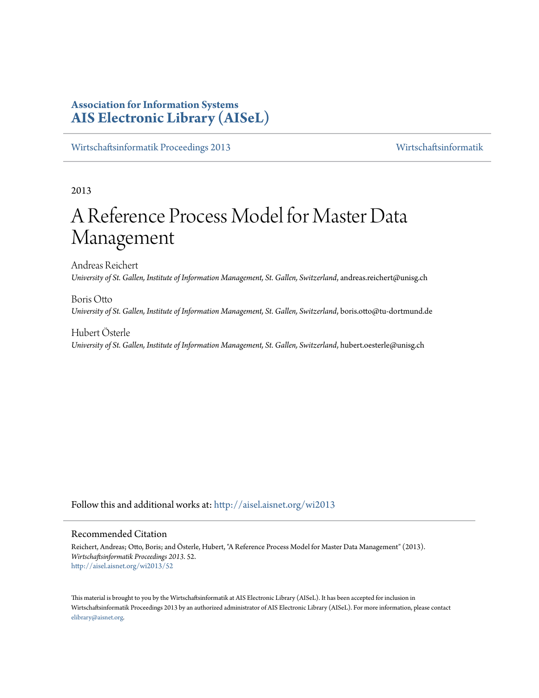## **Association for Information Systems [AIS Electronic Library \(AISeL\)](http://aisel.aisnet.org?utm_source=aisel.aisnet.org%2Fwi2013%2F52&utm_medium=PDF&utm_campaign=PDFCoverPages)**

[Wirtschaftsinformatik Proceedings 2013](http://aisel.aisnet.org/wi2013?utm_source=aisel.aisnet.org%2Fwi2013%2F52&utm_medium=PDF&utm_campaign=PDFCoverPages) [Wirtschaftsinformatik](http://aisel.aisnet.org/wi?utm_source=aisel.aisnet.org%2Fwi2013%2F52&utm_medium=PDF&utm_campaign=PDFCoverPages)

2013

# A Reference Process Model for Master Data Management

Andreas Reichert *University of St. Gallen, Institute of Information Management, St. Gallen, Switzerland*, andreas.reichert@unisg.ch

Boris Otto *University of St. Gallen, Institute of Information Management, St. Gallen, Switzerland*, boris.otto@tu-dortmund.de

Hubert Österle *University of St. Gallen, Institute of Information Management, St. Gallen, Switzerland*, hubert.oesterle@unisg.ch

Follow this and additional works at: [http://aisel.aisnet.org/wi2013](http://aisel.aisnet.org/wi2013?utm_source=aisel.aisnet.org%2Fwi2013%2F52&utm_medium=PDF&utm_campaign=PDFCoverPages)

## Recommended Citation

Reichert, Andreas; Otto, Boris; and Österle, Hubert, "A Reference Process Model for Master Data Management" (2013). *Wirtschaftsinformatik Proceedings 2013*. 52. [http://aisel.aisnet.org/wi2013/52](http://aisel.aisnet.org/wi2013/52?utm_source=aisel.aisnet.org%2Fwi2013%2F52&utm_medium=PDF&utm_campaign=PDFCoverPages)

This material is brought to you by the Wirtschaftsinformatik at AIS Electronic Library (AISeL). It has been accepted for inclusion in Wirtschaftsinformatik Proceedings 2013 by an authorized administrator of AIS Electronic Library (AISeL). For more information, please contact [elibrary@aisnet.org.](mailto:elibrary@aisnet.org%3E)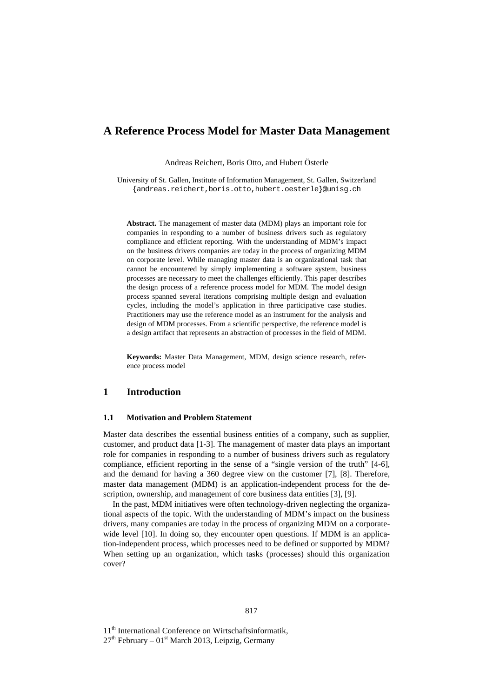## **A Reference Process Model for Master Data Management**

Andreas Reichert, Boris Otto, and Hubert Österle

University of St. Gallen, Institute of Information Management, St. Gallen, Switzerland {andreas.reichert,boris.otto,hubert.oesterle}@unisg.ch

**Abstract.** The management of master data (MDM) plays an important role for companies in responding to a number of business drivers such as regulatory compliance and efficient reporting. With the understanding of MDM's impact on the business drivers companies are today in the process of organizing MDM on corporate level. While managing master data is an organizational task that cannot be encountered by simply implementing a software system, business processes are necessary to meet the challenges efficiently. This paper describes the design process of a reference process model for MDM. The model design process spanned several iterations comprising multiple design and evaluation cycles, including the model's application in three participative case studies. Practitioners may use the reference model as an instrument for the analysis and design of MDM processes. From a scientific perspective, the reference model is a design artifact that represents an abstraction of processes in the field of MDM.

**Keywords:** Master Data Management, MDM, design science research, reference process model

## **1 Introduction**

#### **1.1 Motivation and Problem Statement**

Master data describes the essential business entities of a company, such as supplier, customer, and product data [1-3]. The management of master data plays an important role for companies in responding to a number of business drivers such as regulatory compliance, efficient reporting in the sense of a "single version of the truth" [4-6], and the demand for having a 360 degree view on the customer [7], [8]. Therefore, master data management (MDM) is an application-independent process for the description, ownership, and management of core business data entities [3], [9].

In the past, MDM initiatives were often technology-driven neglecting the organizational aspects of the topic. With the understanding of MDM's impact on the business drivers, many companies are today in the process of organizing MDM on a corporatewide level [10]. In doing so, they encounter open questions. If MDM is an application-independent process, which processes need to be defined or supported by MDM? When setting up an organization, which tasks (processes) should this organization cover?

11<sup>th</sup> International Conference on Wirtschaftsinformatik,

 $27<sup>th</sup>$  February – 01<sup>st</sup> March 2013, Leipzig, Germany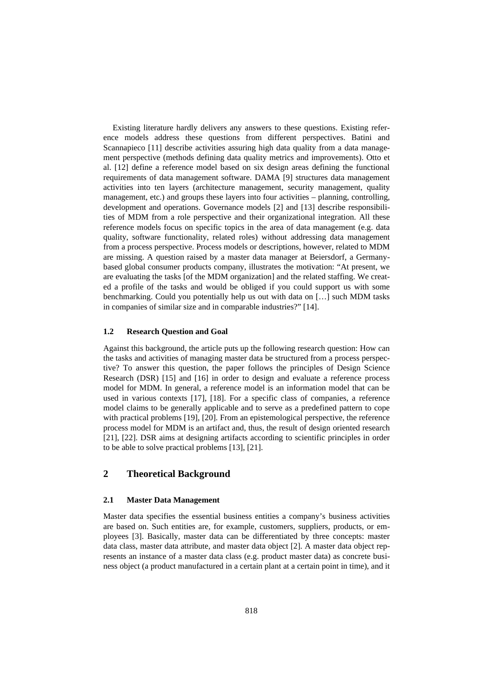Existing literature hardly delivers any answers to these questions. Existing reference models address these questions from different perspectives. Batini and Scannapieco [11] describe activities assuring high data quality from a data management perspective (methods defining data quality metrics and improvements). Otto et al. [12] define a reference model based on six design areas defining the functional requirements of data management software. DAMA [9] structures data management activities into ten layers (architecture management, security management, quality management, etc.) and groups these layers into four activities – planning, controlling, development and operations. Governance models [2] and [13] describe responsibilities of MDM from a role perspective and their organizational integration. All these reference models focus on specific topics in the area of data management (e.g. data quality, software functionality, related roles) without addressing data management from a process perspective. Process models or descriptions, however, related to MDM are missing. A question raised by a master data manager at Beiersdorf, a Germanybased global consumer products company, illustrates the motivation: "At present, we are evaluating the tasks [of the MDM organization] and the related staffing. We created a profile of the tasks and would be obliged if you could support us with some benchmarking. Could you potentially help us out with data on […] such MDM tasks in companies of similar size and in comparable industries?" [14].

#### **1.2 Research Question and Goal**

Against this background, the article puts up the following research question: How can the tasks and activities of managing master data be structured from a process perspective? To answer this question, the paper follows the principles of Design Science Research (DSR) [15] and [16] in order to design and evaluate a reference process model for MDM. In general, a reference model is an information model that can be used in various contexts [17], [18]. For a specific class of companies, a reference model claims to be generally applicable and to serve as a predefined pattern to cope with practical problems [19], [20]. From an epistemological perspective, the reference process model for MDM is an artifact and, thus, the result of design oriented research [21], [22]. DSR aims at designing artifacts according to scientific principles in order to be able to solve practical problems [13], [21].

## **2 Theoretical Background**

#### **2.1 Master Data Management**

Master data specifies the essential business entities a company's business activities are based on. Such entities are, for example, customers, suppliers, products, or employees [3]. Basically, master data can be differentiated by three concepts: master data class, master data attribute, and master data object [2]. A master data object represents an instance of a master data class (e.g. product master data) as concrete business object (a product manufactured in a certain plant at a certain point in time), and it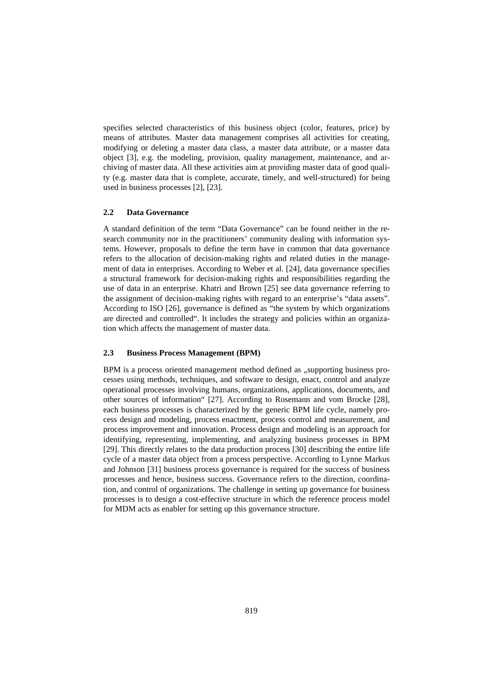specifies selected characteristics of this business object (color, features, price) by means of attributes. Master data management comprises all activities for creating, modifying or deleting a master data class, a master data attribute, or a master data object [3], e.g. the modeling, provision, quality management, maintenance, and archiving of master data. All these activities aim at providing master data of good quality (e.g. master data that is complete, accurate, timely, and well-structured) for being used in business processes [2], [23].

## **2.2 Data Governance**

A standard definition of the term "Data Governance" can be found neither in the research community nor in the practitioners' community dealing with information systems. However, proposals to define the term have in common that data governance refers to the allocation of decision-making rights and related duties in the management of data in enterprises. According to Weber et al. [24], data governance specifies a structural framework for decision-making rights and responsibilities regarding the use of data in an enterprise. Khatri and Brown [25] see data governance referring to the assignment of decision-making rights with regard to an enterprise's "data assets". According to ISO [26], governance is defined as "the system by which organizations are directed and controlled". It includes the strategy and policies within an organization which affects the management of master data.

#### **2.3 Business Process Management (BPM)**

BPM is a process oriented management method defined as ...supporting business processes using methods, techniques, and software to design, enact, control and analyze operational processes involving humans, organizations, applications, documents, and other sources of information" [27]. According to Rosemann and vom Brocke [28], each business processes is characterized by the generic BPM life cycle, namely process design and modeling, process enactment, process control and measurement, and process improvement and innovation. Process design and modeling is an approach for identifying, representing, implementing, and analyzing business processes in BPM [29]. This directly relates to the data production process [30] describing the entire life cycle of a master data object from a process perspective. According to Lynne Markus and Johnson [31] business process governance is required for the success of business processes and hence, business success. Governance refers to the direction, coordination, and control of organizations. The challenge in setting up governance for business processes is to design a cost-effective structure in which the reference process model for MDM acts as enabler for setting up this governance structure.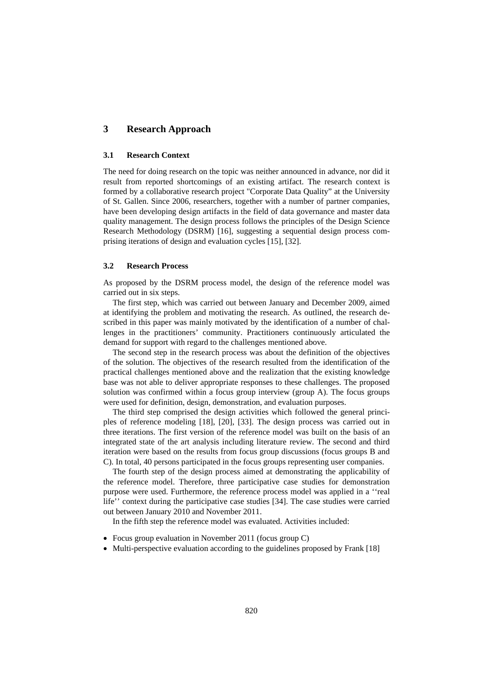## **3 Research Approach**

#### **3.1 Research Context**

The need for doing research on the topic was neither announced in advance, nor did it result from reported shortcomings of an existing artifact. The research context is formed by a collaborative research project "Corporate Data Quality" at the University of St. Gallen. Since 2006, researchers, together with a number of partner companies, have been developing design artifacts in the field of data governance and master data quality management. The design process follows the principles of the Design Science Research Methodology (DSRM) [16], suggesting a sequential design process comprising iterations of design and evaluation cycles [15], [32].

#### **3.2 Research Process**

As proposed by the DSRM process model, the design of the reference model was carried out in six steps.

The first step, which was carried out between January and December 2009, aimed at identifying the problem and motivating the research. As outlined, the research described in this paper was mainly motivated by the identification of a number of challenges in the practitioners' community. Practitioners continuously articulated the demand for support with regard to the challenges mentioned above.

The second step in the research process was about the definition of the objectives of the solution. The objectives of the research resulted from the identification of the practical challenges mentioned above and the realization that the existing knowledge base was not able to deliver appropriate responses to these challenges. The proposed solution was confirmed within a focus group interview (group A). The focus groups were used for definition, design, demonstration, and evaluation purposes.

The third step comprised the design activities which followed the general principles of reference modeling [18], [20], [33]. The design process was carried out in three iterations. The first version of the reference model was built on the basis of an integrated state of the art analysis including literature review. The second and third iteration were based on the results from focus group discussions (focus groups B and C). In total, 40 persons participated in the focus groups representing user companies.

The fourth step of the design process aimed at demonstrating the applicability of the reference model. Therefore, three participative case studies for demonstration purpose were used. Furthermore, the reference process model was applied in a ''real life'' context during the participative case studies [34]. The case studies were carried out between January 2010 and November 2011.

In the fifth step the reference model was evaluated. Activities included:

- Focus group evaluation in November 2011 (focus group C)
- Multi-perspective evaluation according to the guidelines proposed by Frank [18]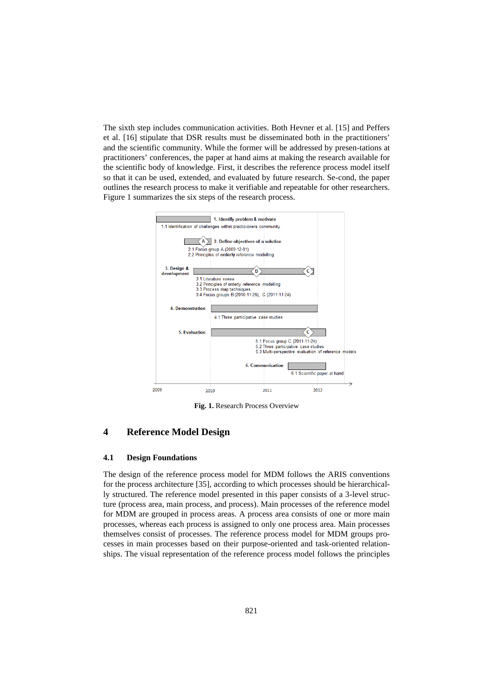The sixth step includes communication activities. Both Hevner et al. [15] and Peffers et al. [16] stipulate that DSR results must be disseminated both in the practitioners' and the scientific community. While the former will be addressed by presen-tations at practitioners' conferences, the paper at hand aims at making the research available for the scientific body of knowledge. First, it describes the reference process model itself so that it can be used, extended, and evaluated by future research. Se-cond, the paper outlines the research process to make it verifiable and repeatable for other researchers. Figure 1 summarizes the six steps of the research process.



**Fig. 1.** Research Process Overview

## **4 Reference Model Design**

#### **4.1 Design Foundations**

The design of the reference process model for MDM follows the ARIS conventions for the process architecture [35], according to which processes should be hierarchically structured. The reference model presented in this paper consists of a 3-level structure (process area, main process, and process). Main processes of the reference model for MDM are grouped in process areas. A process area consists of one or more main processes, whereas each process is assigned to only one process area. Main processes themselves consist of processes. The reference process model for MDM groups processes in main processes based on their purpose-oriented and task-oriented relationships. The visual representation of the reference process model follows the principles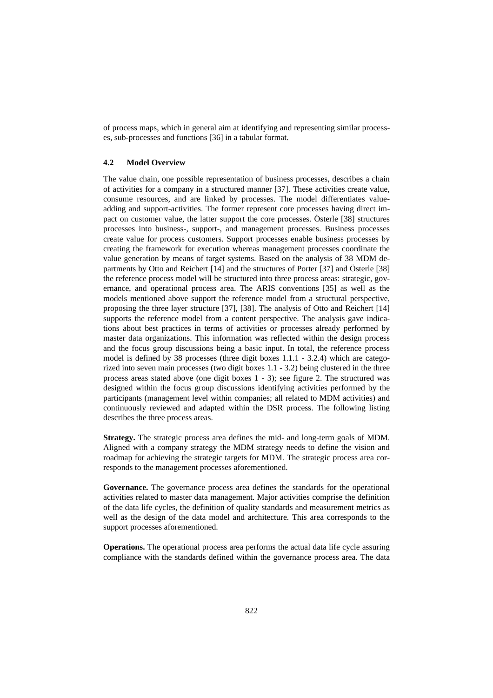of process maps, which in general aim at identifying and representing similar processes, sub-processes and functions [36] in a tabular format.

#### **4.2 Model Overview**

The value chain, one possible representation of business processes, describes a chain of activities for a company in a structured manner [37]. These activities create value, consume resources, and are linked by processes. The model differentiates valueadding and support-activities. The former represent core processes having direct impact on customer value, the latter support the core processes. Österle [38] structures processes into business-, support-, and management processes. Business processes create value for process customers. Support processes enable business processes by creating the framework for execution whereas management processes coordinate the value generation by means of target systems. Based on the analysis of 38 MDM departments by Otto and Reichert [14] and the structures of Porter [37] and Österle [38] the reference process model will be structured into three process areas: strategic, governance, and operational process area. The ARIS conventions [35] as well as the models mentioned above support the reference model from a structural perspective, proposing the three layer structure [37], [38]. The analysis of Otto and Reichert [14] supports the reference model from a content perspective. The analysis gave indications about best practices in terms of activities or processes already performed by master data organizations. This information was reflected within the design process and the focus group discussions being a basic input. In total, the reference process model is defined by 38 processes (three digit boxes 1.1.1 - 3.2.4) which are categorized into seven main processes (two digit boxes 1.1 - 3.2) being clustered in the three process areas stated above (one digit boxes 1 - 3); see figure 2. The structured was designed within the focus group discussions identifying activities performed by the participants (management level within companies; all related to MDM activities) and continuously reviewed and adapted within the DSR process. The following listing describes the three process areas.

**Strategy.** The strategic process area defines the mid- and long-term goals of MDM. Aligned with a company strategy the MDM strategy needs to define the vision and roadmap for achieving the strategic targets for MDM. The strategic process area corresponds to the management processes aforementioned.

**Governance.** The governance process area defines the standards for the operational activities related to master data management. Major activities comprise the definition of the data life cycles, the definition of quality standards and measurement metrics as well as the design of the data model and architecture. This area corresponds to the support processes aforementioned.

**Operations.** The operational process area performs the actual data life cycle assuring compliance with the standards defined within the governance process area. The data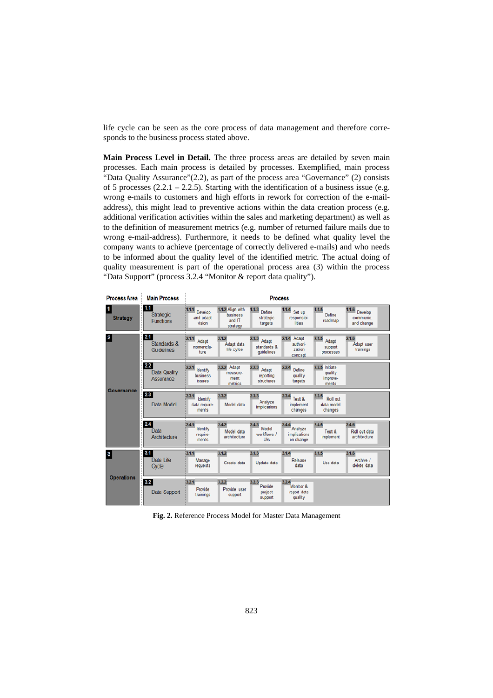life cycle can be seen as the core process of data management and therefore corresponds to the business process stated above.

**Main Process Level in Detail.** The three process areas are detailed by seven main processes. Each main process is detailed by processes. Exemplified, main process "Data Quality Assurance"(2.2), as part of the process area "Governance" (2) consists of 5 processes  $(2.2.1 - 2.2.5)$ . Starting with the identification of a business issue (e.g. wrong e-mails to customers and high efforts in rework for correction of the e-mailaddress), this might lead to preventive actions within the data creation process (e.g. additional verification activities within the sales and marketing department) as well as to the definition of measurement metrics (e.g. number of returned failure mails due to wrong e-mail-address). Furthermore, it needs to be defined what quality level the company wants to achieve (percentage of correctly delivered e-mails) and who needs to be informed about the quality level of the identified metric. The actual doing of quality measurement is part of the operational process area (3) within the process "Data Support" (process 3.2.4 "Monitor & report data quality").

| <b>Process Area</b>        | <b>Main Process</b>                            | <b>Process</b>                              |                                                    |                                             |                                                 |                                                 |                                             |  |
|----------------------------|------------------------------------------------|---------------------------------------------|----------------------------------------------------|---------------------------------------------|-------------------------------------------------|-------------------------------------------------|---------------------------------------------|--|
| 1<br><b>Strategy</b>       | 1.1<br><b>Strategic</b><br><b>Functions</b>    | 1.1.1<br>Develop<br>and adapt<br>vision     | 1.1.2 Align with<br>business<br>and IT<br>strategy | 1.1.3<br>Define<br>strategic<br>targets     | 1.1.4<br>Set up<br>responsibi-<br>lities        | 1.1.5<br>Define<br>roadmap                      | 1.1.6<br>Develop<br>communic.<br>and change |  |
| $\mathbf{2}$<br>Governance | 2.1<br>Standards &<br><b>Guidelines</b>        | 2.1.1<br>Adapt<br>nomencla-<br>ture         | 2.1.2<br>Adapt data<br>life cylce                  | 2.1.3<br>Adapt<br>standards &<br>quidelines | Adapt<br>2.1.4<br>authori-<br>zation<br>concept | 2.1.5<br>Adapt<br>support<br>processes          | 2.1.6<br>Adapt user<br>trainings            |  |
|                            | 2.2<br><b>Data Quality</b><br><b>Assurance</b> | 2.2.1<br>Identify<br>business<br>issues     | 2.2.2 Adapt<br>measure-<br>ment<br><i>metrics</i>  | 2.2.3<br>Adapt<br>reporting<br>structures   | 2.2.4<br>Define<br>quality<br>targets           | 2.2.5 Initiate<br>quality<br>improve-<br>ments. |                                             |  |
|                            | 2.3<br>Data Model                              | 2.3.1<br>Identify<br>data require-<br>ments | 2.3.2<br>Model data                                | 2.3.3<br>Analyze<br>implications            | 2.3.4<br>Test &<br>implement<br>changes         | 2.3.5<br>Roll out<br>data model<br>changes      |                                             |  |
|                            | 2.4<br>Data<br>Architecture                    | 2.4.1<br>Identify<br>require-<br>ments      | 2.4.2<br>Model data<br>architecture                | 2.4.3<br>Model<br>workflows /<br>Uls        | 2.4.4<br>Analyze<br>implications<br>on change   | 2.4.5<br>Test &<br>implement                    | 2.4.6<br>Roll out data<br>architecture      |  |
| 3<br><b>Operations</b>     | 3.1<br>Data Life<br>Cycle                      | 3.1.1<br>Manage<br>requests                 | 3.1.2<br>Create data                               | 3.1.3<br>Update data                        | 3.1.4<br><b>Release</b><br>data                 | 3.1.5<br>Use data                               | 3.1.6<br>Archive /<br>delete data           |  |
|                            | 3.2<br><b>Data Support</b>                     | 3.2.1<br>Provide<br>trainings               | 3.2.2<br>Provide user<br>support                   | 3.2.3<br>Provide<br>project<br>support      | 3.2.4<br>Monit or &<br>report data<br>quality   |                                                 |                                             |  |

**Fig. 2.** Reference Process Model for Master Data Management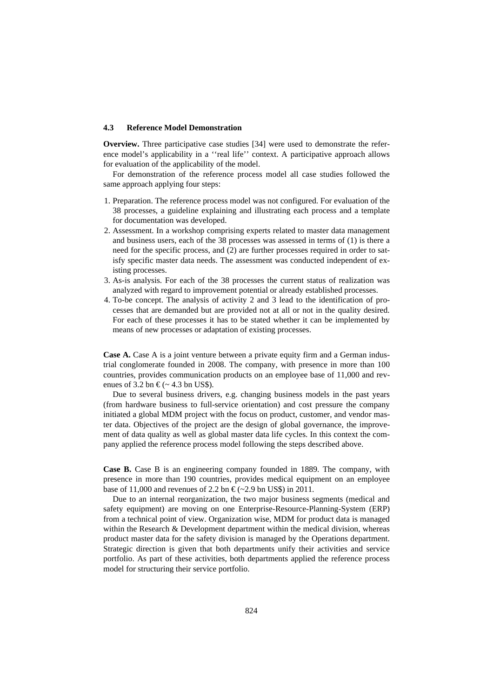#### **4.3 Reference Model Demonstration**

**Overview.** Three participative case studies [34] were used to demonstrate the reference model's applicability in a ''real life'' context. A participative approach allows for evaluation of the applicability of the model.

For demonstration of the reference process model all case studies followed the same approach applying four steps:

- 1. Preparation. The reference process model was not configured. For evaluation of the 38 processes, a guideline explaining and illustrating each process and a template for documentation was developed.
- 2. Assessment. In a workshop comprising experts related to master data management and business users, each of the 38 processes was assessed in terms of (1) is there a need for the specific process, and (2) are further processes required in order to satisfy specific master data needs. The assessment was conducted independent of existing processes.
- 3. As-is analysis. For each of the 38 processes the current status of realization was analyzed with regard to improvement potential or already established processes.
- 4. To-be concept. The analysis of activity 2 and 3 lead to the identification of processes that are demanded but are provided not at all or not in the quality desired. For each of these processes it has to be stated whether it can be implemented by means of new processes or adaptation of existing processes.

**Case A.** Case A is a joint venture between a private equity firm and a German industrial conglomerate founded in 2008. The company, with presence in more than 100 countries, provides communication products on an employee base of 11,000 and revenues of 3.2 bn  $\epsilon$ (~ 4.3 bn US\$).

Due to several business drivers, e.g. changing business models in the past years (from hardware business to full-service orientation) and cost pressure the company initiated a global MDM project with the focus on product, customer, and vendor master data. Objectives of the project are the design of global governance, the improvement of data quality as well as global master data life cycles. In this context the company applied the reference process model following the steps described above.

**Case B.** Case B is an engineering company founded in 1889. The company, with presence in more than 190 countries, provides medical equipment on an employee base of 11,000 and revenues of 2.2 bn  $\epsilon$ (~2.9 bn US\$) in 2011.

Due to an internal reorganization, the two major business segments (medical and safety equipment) are moving on one Enterprise-Resource-Planning-System (ERP) from a technical point of view. Organization wise, MDM for product data is managed within the Research & Development department within the medical division, whereas product master data for the safety division is managed by the Operations department. Strategic direction is given that both departments unify their activities and service portfolio. As part of these activities, both departments applied the reference process model for structuring their service portfolio.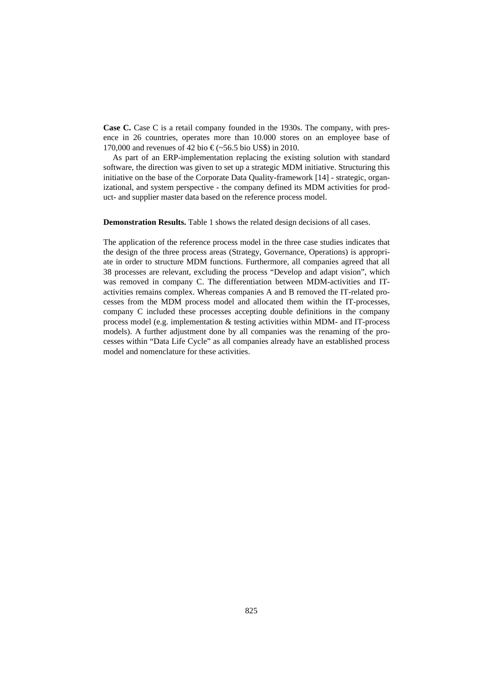**Case C.** Case C is a retail company founded in the 1930s. The company, with presence in 26 countries, operates more than 10.000 stores on an employee base of 170,000 and revenues of 42 bio €(~56.5 bio US\$) in 2010.

As part of an ERP-implementation replacing the existing solution with standard software, the direction was given to set up a strategic MDM initiative. Structuring this initiative on the base of the Corporate Data Quality-framework [14] - strategic, organizational, and system perspective - the company defined its MDM activities for product- and supplier master data based on the reference process model.

**Demonstration Results.** Table 1 shows the related design decisions of all cases.

The application of the reference process model in the three case studies indicates that the design of the three process areas (Strategy, Governance, Operations) is appropriate in order to structure MDM functions. Furthermore, all companies agreed that all 38 processes are relevant, excluding the process "Develop and adapt vision", which was removed in company C. The differentiation between MDM-activities and ITactivities remains complex. Whereas companies A and B removed the IT-related processes from the MDM process model and allocated them within the IT-processes, company C included these processes accepting double definitions in the company process model (e.g. implementation & testing activities within MDM- and IT-process models). A further adjustment done by all companies was the renaming of the processes within "Data Life Cycle" as all companies already have an established process model and nomenclature for these activities.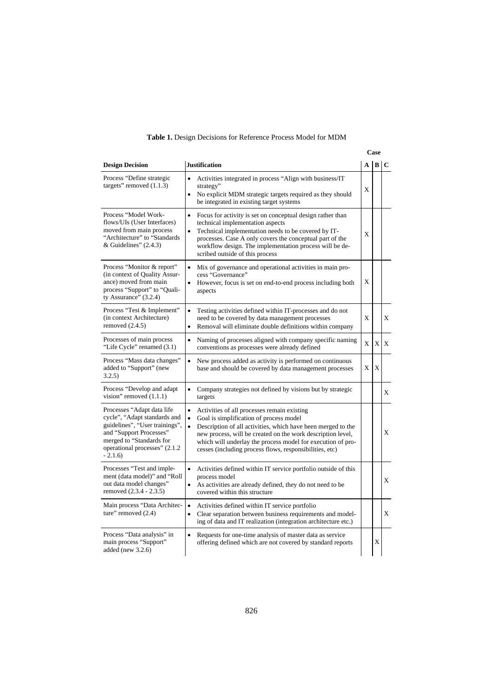## **Table 1.** Design Decisions for Reference Process Model for MDM

| <b>Design Decision</b>                                                                                                                                                                            | <b>Justification</b>                                                                                                                                                                                                                                                                                                                                                                   |   | $A \mid B$ | l C |
|---------------------------------------------------------------------------------------------------------------------------------------------------------------------------------------------------|----------------------------------------------------------------------------------------------------------------------------------------------------------------------------------------------------------------------------------------------------------------------------------------------------------------------------------------------------------------------------------------|---|------------|-----|
| Process "Define strategic<br>targets" removed $(1.1.3)$                                                                                                                                           | Activities integrated in process "Align with business/IT<br>$\bullet$<br>strategy"<br>$\bullet$<br>No explicit MDM strategic targets required as they should<br>be integrated in existing target systems                                                                                                                                                                               | X |            |     |
| Process "Model Work-<br>flows/UIs (User Interfaces)<br>moved from main process<br>"Architecture" to "Standards<br>& Guidelines" $(2.4.3)$                                                         | Focus for activity is set on conceptual design rather than<br>$\bullet$<br>technical implementation aspects<br>Technical implementation needs to be covered by IT-<br>$\bullet$<br>processes. Case A only covers the conceptual part of the<br>workflow design. The implementation process will be de-<br>scribed outside of this process                                              | X |            |     |
| Process "Monitor & report"<br>(in context of Quality Assur-<br>ance) moved from main<br>process "Support" to "Quali-<br>ty Assurance" $(3.2.4)$                                                   | Mix of governance and operational activities in main pro-<br>٠<br>cess "Governance"<br>However, focus is set on end-to-end process including both<br>aspects                                                                                                                                                                                                                           | X |            |     |
| Process "Test & Implement"<br>(in context Architecture)<br>removed $(2.4.5)$                                                                                                                      | $\bullet$<br>Testing activities defined within IT-processes and do not<br>need to be covered by data management processes<br>Removal will eliminate double definitions within company<br>$\bullet$                                                                                                                                                                                     | X |            | X   |
| Processes of main process<br>"Life Cycle" renamed (3.1)                                                                                                                                           | Naming of processes aligned with company specific naming<br>$\bullet$<br>conventions as processes were already defined                                                                                                                                                                                                                                                                 | X | X          | X   |
| Process "Mass data changes"<br>added to "Support" (new<br>3.2.5)                                                                                                                                  | New process added as activity is performed on continuous<br>base and should be covered by data management processes                                                                                                                                                                                                                                                                    | X | X          |     |
| Process "Develop and adapt<br>vision" removed $(1.1.1)$                                                                                                                                           | Company strategies not defined by visions but by strategic<br>targets                                                                                                                                                                                                                                                                                                                  |   |            | X   |
| Processes "Adapt data life<br>cycle", "Adapt standards and<br>guidelines", "User trainings",<br>and "Support Processes"<br>merged to "Standards for<br>operational processes" (2.1.2)<br>$-2.1.6$ | $\bullet$<br>Activities of all processes remain existing<br>Goal is simplification of process model<br>$\bullet$<br>$\bullet$<br>Description of all activities, which have been merged to the<br>new process, will be created on the work description level,<br>which will underlay the process model for execution of pro-<br>cesses (including process flows, responsibilities, etc) |   |            | X   |
| Processes "Test and imple-<br>ment (data model)" and "Roll<br>out data model changes"<br>removed (2.3.4 - 2.3.5)                                                                                  | Activities defined within IT service portfolio outside of this<br>$\bullet$<br>process model<br>As activities are already defined, they do not need to be<br>$\bullet$<br>covered within this structure                                                                                                                                                                                |   |            | X   |
| Main process "Data Architec-<br>ture" removed (2.4)                                                                                                                                               | $\bullet$<br>Activities defined within IT service portfolio<br>Clear separation between business requirements and model-<br>$\bullet$<br>ing of data and IT realization (integration architecture etc.)                                                                                                                                                                                |   |            | X   |
| Process "Data analysis" in<br>main process "Support"<br>added (new $3.2.6$ )                                                                                                                      | Requests for one-time analysis of master data as service<br>$\bullet$<br>offering defined which are not covered by standard reports                                                                                                                                                                                                                                                    |   | X          |     |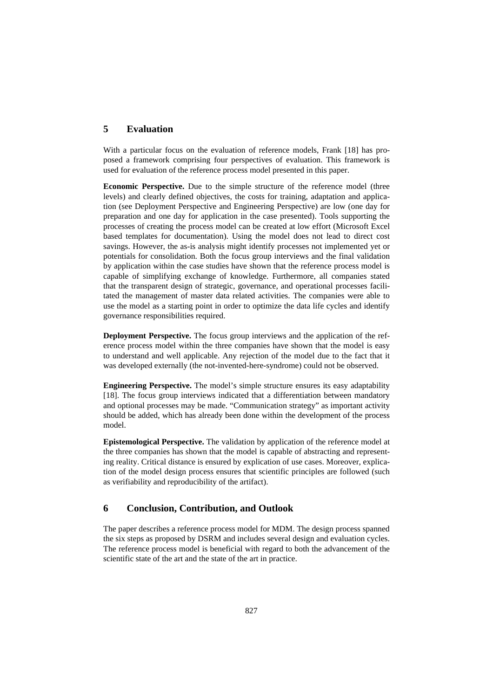## **5 Evaluation**

With a particular focus on the evaluation of reference models, Frank [18] has proposed a framework comprising four perspectives of evaluation. This framework is used for evaluation of the reference process model presented in this paper.

**Economic Perspective.** Due to the simple structure of the reference model (three levels) and clearly defined objectives, the costs for training, adaptation and application (see Deployment Perspective and Engineering Perspective) are low (one day for preparation and one day for application in the case presented). Tools supporting the processes of creating the process model can be created at low effort (Microsoft Excel based templates for documentation). Using the model does not lead to direct cost savings. However, the as-is analysis might identify processes not implemented yet or potentials for consolidation. Both the focus group interviews and the final validation by application within the case studies have shown that the reference process model is capable of simplifying exchange of knowledge. Furthermore, all companies stated that the transparent design of strategic, governance, and operational processes facilitated the management of master data related activities. The companies were able to use the model as a starting point in order to optimize the data life cycles and identify governance responsibilities required.

**Deployment Perspective.** The focus group interviews and the application of the reference process model within the three companies have shown that the model is easy to understand and well applicable. Any rejection of the model due to the fact that it was developed externally (the not-invented-here-syndrome) could not be observed.

**Engineering Perspective.** The model's simple structure ensures its easy adaptability [18]. The focus group interviews indicated that a differentiation between mandatory and optional processes may be made. "Communication strategy" as important activity should be added, which has already been done within the development of the process model.

**Epistemological Perspective.** The validation by application of the reference model at the three companies has shown that the model is capable of abstracting and representing reality. Critical distance is ensured by explication of use cases. Moreover, explication of the model design process ensures that scientific principles are followed (such as verifiability and reproducibility of the artifact).

## **6 Conclusion, Contribution, and Outlook**

The paper describes a reference process model for MDM. The design process spanned the six steps as proposed by DSRM and includes several design and evaluation cycles. The reference process model is beneficial with regard to both the advancement of the scientific state of the art and the state of the art in practice.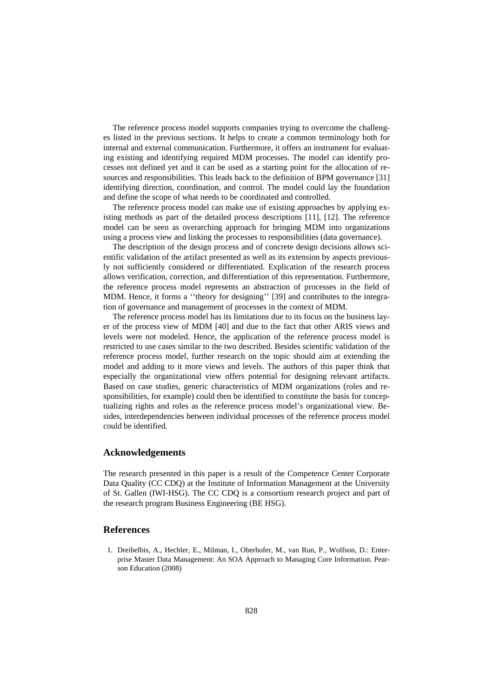The reference process model supports companies trying to overcome the challenges listed in the previous sections. It helps to create a common terminology both for internal and external communication. Furthermore, it offers an instrument for evaluating existing and identifying required MDM processes. The model can identify processes not defined yet and it can be used as a starting point for the allocation of resources and responsibilities. This leads back to the definition of BPM governance [31] identifying direction, coordination, and control. The model could lay the foundation and define the scope of what needs to be coordinated and controlled.

The reference process model can make use of existing approaches by applying existing methods as part of the detailed process descriptions [11], [12]. The reference model can be seen as overarching approach for bringing MDM into organizations using a process view and linking the processes to responsibilities (data governance).

The description of the design process and of concrete design decisions allows scientific validation of the artifact presented as well as its extension by aspects previously not sufficiently considered or differentiated. Explication of the research process allows verification, correction, and differentiation of this representation. Furthermore, the reference process model represents an abstraction of processes in the field of MDM. Hence, it forms a ''theory for designing'' [39] and contributes to the integration of governance and management of processes in the context of MDM.

The reference process model has its limitations due to its focus on the business layer of the process view of MDM [40] and due to the fact that other ARIS views and levels were not modeled. Hence, the application of the reference process model is restricted to use cases similar to the two described. Besides scientific validation of the reference process model, further research on the topic should aim at extending the model and adding to it more views and levels. The authors of this paper think that especially the organizational view offers potential for designing relevant artifacts. Based on case studies, generic characteristics of MDM organizations (roles and responsibilities, for example) could then be identified to constitute the basis for conceptualizing rights and roles as the reference process model's organizational view. Besides, interdependencies between individual processes of the reference process model could be identified.

#### **Acknowledgements**

The research presented in this paper is a result of the Competence Center Corporate Data Quality (CC CDQ) at the Institute of Information Management at the University of St. Gallen (IWI-HSG). The CC CDQ is a consortium research project and part of the research program Business Engineering (BE HSG).

## **References**

1. Dreibelbis, A., Hechler, E., Milman, I., Oberhofer, M., van Run, P., Wolfson, D.: Enterprise Master Data Management: An SOA Approach to Managing Core Information. Pearson Education (2008)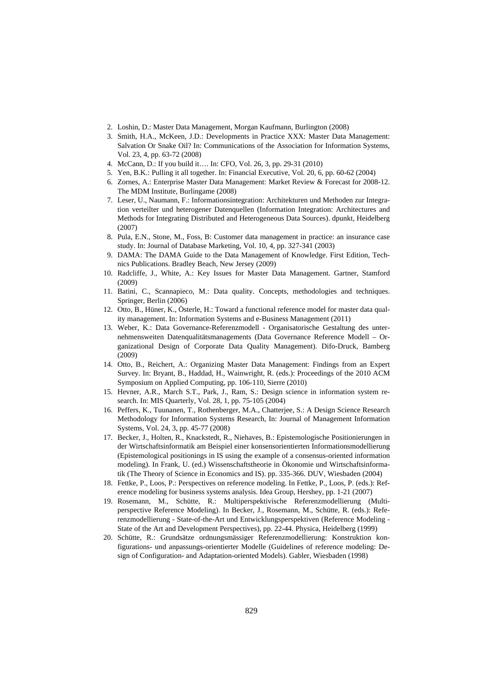- 2. Loshin, D.: Master Data Management, Morgan Kaufmann, Burlington (2008)
- 3. Smith, H.A., McKeen, J.D.: Developments in Practice XXX: Master Data Management: Salvation Or Snake Oil? In: Communications of the Association for Information Systems, Vol. 23, 4, pp. 63-72 (2008)
- 4. McCann, D.: If you build it…. In: CFO, Vol. 26, 3, pp. 29-31 (2010)
- 5. Yen, B.K.: Pulling it all together. In: Financial Executive, Vol. 20, 6, pp. 60-62 (2004)
- 6. Zornes, A.: Enterprise Master Data Management: Market Review & Forecast for 2008-12. The MDM Institute, Burlingame (2008)
- 7. Leser, U., Naumann, F.: Informationsintegration: Architekturen und Methoden zur Integration verteilter und heterogener Datenquellen (Information Integration: Architectures and Methods for Integrating Distributed and Heterogeneous Data Sources). dpunkt, Heidelberg (2007)
- 8. Pula, E.N., Stone, M., Foss, B: Customer data management in practice: an insurance case study. In: Journal of Database Marketing, Vol. 10, 4, pp. 327-341 (2003)
- 9. DAMA: The DAMA Guide to the Data Management of Knowledge. First Edition, Technics Publications. Bradley Beach, New Jersey (2009)
- 10. Radcliffe, J., White, A.: Key Issues for Master Data Management. Gartner, Stamford (2009)
- 11. Batini, C., Scannapieco, M.: Data quality. Concepts, methodologies and techniques. Springer, Berlin (2006)
- 12. Otto, B., Hüner, K., Österle, H.: Toward a functional reference model for master data quality management. In: Information Systems and e-Business Management (2011)
- 13. Weber, K.: Data Governance-Referenzmodell Organisatorische Gestaltung des unternehmensweiten Datenqualitätsmanagements (Data Governance Reference Modell – Organizational Design of Corporate Data Quality Management). Difo-Druck, Bamberg (2009)
- 14. Otto, B., Reichert, A.: Organizing Master Data Management: Findings from an Expert Survey. In: Bryant, B., Haddad, H., Wainwright, R. (eds.): Proceedings of the 2010 ACM Symposium on Applied Computing, pp. 106-110, Sierre (2010)
- 15. Hevner, A.R., March S.T., Park, J., Ram, S.: Design science in information system research. In: MIS Quarterly, Vol. 28, 1, pp. 75-105 (2004)
- 16. Peffers, K., Tuunanen, T., Rothenberger, M.A., Chatterjee, S.: A Design Science Research Methodology for Information Systems Research, In: Journal of Management Information Systems, Vol. 24, 3, pp. 45-77 (2008)
- 17. Becker, J., Holten, R., Knackstedt, R., Niehaves, B.: Epistemologische Positionierungen in der Wirtschaftsinformatik am Beispiel einer konsensorientierten Informationsmodellierung (Epistemological positionings in IS using the example of a consensus-oriented information modeling). In Frank, U. (ed.) Wissenschaftstheorie in Ökonomie und Wirtschaftsinformatik (The Theory of Science in Economics and IS). pp. 335-366. DUV, Wiesbaden (2004)
- 18. Fettke, P., Loos, P.: Perspectives on reference modeling. In Fettke, P., Loos, P. (eds.): Reference modeling for business systems analysis. Idea Group, Hershey, pp. 1-21 (2007)
- 19. Rosemann, M., Schütte, R.: Multiperspektivische Referenzmodellierung (Multiperspective Reference Modeling). In Becker, J., Rosemann, M., Schütte, R. (eds.): Referenzmodellierung - State-of-the-Art und Entwicklungsperspektiven (Reference Modeling - State of the Art and Development Perspectives), pp. 22-44. Physica, Heidelberg (1999)
- 20. Schütte, R.: Grundsätze ordnungsmässiger Referenzmodellierung: Konstruktion konfigurations- und anpassungs-orientierter Modelle (Guidelines of reference modeling: Design of Configuration- and Adaptation-oriented Models). Gabler, Wiesbaden (1998)